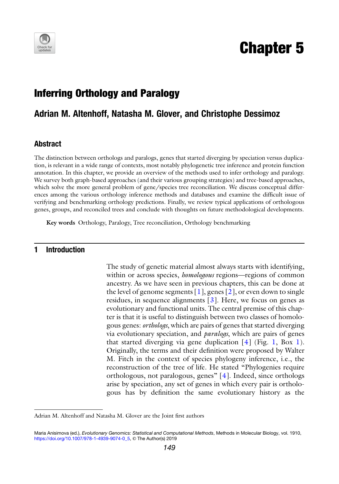

# Chapter 5

# Inferring Orthology and Paralogy

# Adrian M. Altenhoff, Natasha M. Glover, and Christophe Dessimoz

# Abstract

The distinction between orthologs and paralogs, genes that started diverging by speciation versus duplication, is relevant in a wide range of contexts, most notably phylogenetic tree inference and protein function annotation. In this chapter, we provide an overview of the methods used to infer orthology and paralogy. We survey both graph-based approaches (and their various grouping strategies) and tree-based approaches, which solve the more general problem of gene/species tree reconciliation. We discuss conceptual differences among the various orthology inference methods and databases and examine the difficult issue of verifying and benchmarking orthology predictions. Finally, we review typical applications of orthologous genes, groups, and reconciled trees and conclude with thoughts on future methodological developments.

Key words Orthology, Paralogy, Tree reconciliation, Orthology benchmarking

# 1 Introduction

The study of genetic material almost always starts with identifying, within or across species, *homologous* regions—regions of common ancestry. As we have seen in previous chapters, this can be done at the level of genome segments  $[1]$  $[1]$  $[1]$ , genes  $[2]$  $[2]$ , or even down to single residues, in sequence alignments  $\lceil 3 \rceil$ . Here, we focus on genes as evolutionary and functional units. The central premise of this chapter is that it is useful to distinguish between two classes of homologous genes: orthologs, which are pairs of genes that started diverging via evolutionary speciation, and paralogs, which are pairs of genes that started diverging via gene duplication  $[4]$  $[4]$  (Fig. [1,](#page-1-0) Box [1\)](#page-1-1). Originally, the terms and their definition were proposed by Walter M. Fitch in the context of species phylogeny inference, i.e., the reconstruction of the tree of life. He stated "Phylogenies require orthologous, not paralogous, genes" [\[4](#page-22-3)]. Indeed, since orthologs arise by speciation, any set of genes in which every pair is orthologous has by definition the same evolutionary history as the

Adrian M. Altenhoff and Natasha M. Glover are the Joint first authors

Maria Anisimova (ed.), Evolutionary Genomics: Statistical and Computational Methods, Methods in Molecular Biology, vol. 1910, [https://doi.org/10.1007/978-1-4939-9074-0\\_5](https://doi.org/10.1007/978-1-4939-9074-0_5), © The Author(s) 2019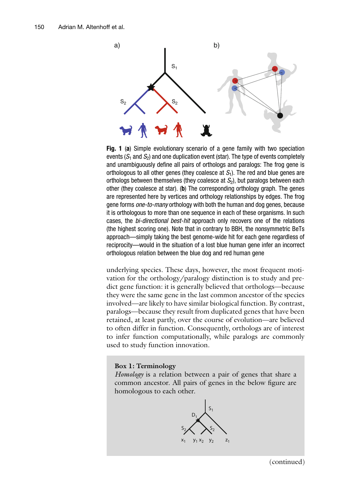<span id="page-1-0"></span>

Fig. 1 (a) Simple evolutionary scenario of a gene family with two speciation events  $(S_1 \text{ and } S_2)$  and one duplication event (star). The type of events completely and unambiguously define all pairs of orthologs and paralogs: The frog gene is orthologous to all other genes (they coalesce at  $S_1$ ). The red and blue genes are orthologs between themselves (they coalesce at  $S_2$ ), but paralogs between each other (they coalesce at star). (b) The corresponding orthology graph. The genes are represented here by vertices and orthology relationships by edges. The frog gene forms *one-to-many* orthology with both the human and dog genes, because it is orthologous to more than one sequence in each of these organisms. In such cases, the bi-directional best-hit approach only recovers one of the relations (the highest scoring one). Note that in contrary to BBH, the nonsymmetric BeTs approach—simply taking the best genome-wide hit for each gene regardless of reciprocity—would in the situation of a lost blue human gene infer an incorrect orthologous relation between the blue dog and red human gene

underlying species. These days, however, the most frequent motivation for the orthology/paralogy distinction is to study and predict gene function: it is generally believed that orthologs—because they were the same gene in the last common ancestor of the species involved—are likely to have similar biological function. By contrast, paralogs—because they result from duplicated genes that have been retained, at least partly, over the course of evolution—are believed to often differ in function. Consequently, orthologs are of interest to infer function computationally, while paralogs are commonly used to study function innovation.

#### <span id="page-1-1"></span>Box 1: Terminology

Homology is a relation between a pair of genes that share a common ancestor. All pairs of genes in the below figure are homologous to each other.



(continued)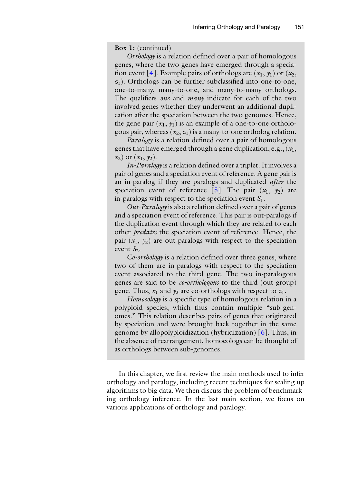Box 1: (continued)

Orthology is a relation defined over a pair of homologous genes, where the two genes have emerged through a specia-tion event [[4\]](#page-22-3). Example pairs of orthologs are  $(x_1, y_1)$  or  $(x_2,$  $z_1$ ). Orthologs can be further subclassified into one-to-one, one-to-many, many-to-one, and many-to-many orthologs. The qualifiers *one* and *many* indicate for each of the two involved genes whether they underwent an additional duplication after the speciation between the two genomes. Hence, the gene pair  $(x_1, y_1)$  is an example of a one-to-one orthologous pair, whereas  $(x_2, z_1)$  is a many-to-one ortholog relation.

Paralogy is a relation defined over a pair of homologous genes that have emerged through a gene duplication, e.g.,  $(x_1,$  $(x_2)$  or  $(x_1, y_2)$ .

In-Paralogy is a relation defined over a triplet. It involves a pair of genes and a speciation event of reference. A gene pair is an in-paralog if they are paralogs and duplicated *after* the speciation event of reference [\[5\]](#page-22-4). The pair  $(x_1, y_2)$  are in-paralogs with respect to the speciation event  $S_1$ .

Out-Paralogy is also a relation defined over a pair of genes and a speciation event of reference. This pair is out-paralogs if the duplication event through which they are related to each other *predates* the speciation event of reference. Hence, the pair  $(x_1, y_2)$  are out-paralogs with respect to the speciation event  $S_2$ .

Co-orthology is a relation defined over three genes, where two of them are in-paralogs with respect to the speciation event associated to the third gene. The two in-paralogous genes are said to be *co-orthologous* to the third (out-group) gene. Thus,  $x_1$  and  $y_2$  are co-orthologs with respect to  $z_1$ .

Homoeology is a specific type of homologous relation in a polyploid species, which thus contain multiple "sub-genomes." This relation describes pairs of genes that originated by speciation and were brought back together in the same genome by allopolyploidization (hybridization)  $[6]$  $[6]$  $[6]$ . Thus, in the absence of rearrangement, homoeologs can be thought of as orthologs between sub-genomes.

In this chapter, we first review the main methods used to infer orthology and paralogy, including recent techniques for scaling up algorithms to big data. We then discuss the problem of benchmarking orthology inference. In the last main section, we focus on various applications of orthology and paralogy.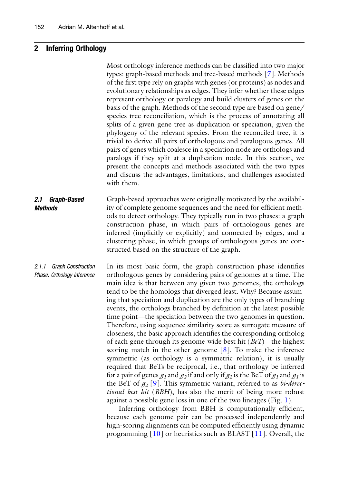# 2 Inferring Orthology

Most orthology inference methods can be classified into two major types: graph-based methods and tree-based methods [\[7\]](#page-22-6). Methods of the first type rely on graphs with genes (or proteins) as nodes and evolutionary relationships as edges. They infer whether these edges represent orthology or paralogy and build clusters of genes on the basis of the graph. Methods of the second type are based on gene/ species tree reconciliation, which is the process of annotating all splits of a given gene tree as duplication or speciation, given the phylogeny of the relevant species. From the reconciled tree, it is trivial to derive all pairs of orthologous and paralogous genes. All pairs of genes which coalesce in a speciation node are orthologs and paralogs if they split at a duplication node. In this section, we present the concepts and methods associated with the two types and discuss the advantages, limitations, and challenges associated with them.

2.1 Graph-Based Methods Graph-based approaches were originally motivated by the availability of complete genome sequences and the need for efficient methods to detect orthology. They typically run in two phases: a graph construction phase, in which pairs of orthologous genes are inferred (implicitly or explicitly) and connected by edges, and a clustering phase, in which groups of orthologous genes are constructed based on the structure of the graph.

2.1.1 Graph Construction Phase: Orthology Inference In its most basic form, the graph construction phase identifies orthologous genes by considering pairs of genomes at a time. The main idea is that between any given two genomes, the orthologs tend to be the homologs that diverged least. Why? Because assuming that speciation and duplication are the only types of branching events, the orthologs branched by definition at the latest possible time point—the speciation between the two genomes in question. Therefore, using sequence similarity score as surrogate measure of closeness, the basic approach identifies the corresponding ortholog of each gene through its genome-wide best hit  $(BeT)$ —the highest scoring match in the other genome [\[8](#page-22-7)]. To make the inference symmetric (as orthology is a symmetric relation), it is usually required that BeTs be reciprocal, i.e., that orthology be inferred for a pair of genes  $g_1$  and  $g_2$  if and only if  $g_2$  is the BeT of  $g_1$  and  $g_1$  is the BeT of  $g_2$  [[9\]](#page-22-8). This symmetric variant, referred to as *bi-direc*tional best hit (BBH), has also the merit of being more robust against a possible gene loss in one of the two lineages (Fig. [1](#page-1-0)).

> Inferring orthology from BBH is computationally efficient, because each genome pair can be processed independently and high-scoring alignments can be computed efficiently using dynamic programming [\[10](#page-22-9)] or heuristics such as BLAST [\[11\]](#page-22-0). Overall, the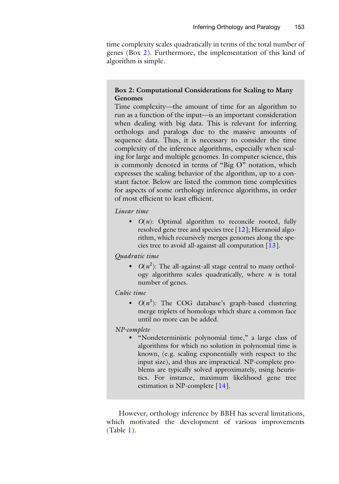<span id="page-4-0"></span>time complexity scales quadratically in terms of the total number of genes (Box [2](#page-4-0)). Furthermore, the implementation of this kind of algorithm is simple.

# Box 2: Computational Considerations for Scaling to Many Genomes

Time complexity—the amount of time for an algorithm to run as a function of the input—is an important consideration when dealing with big data. This is relevant for inferring orthologs and paralogs due to the massive amounts of sequence data. Thus, it is necessary to consider the time complexity of the inference algorithms, especially when scaling for large and multiple genomes. In computer science, this is commonly denoted in terms of "Big O" notation, which expresses the scaling behavior of the algorithm, up to a constant factor. Below are listed the common time complexities for aspects of some orthology inference algorithms, in order of most efficient to least efficient.

#### Linear time

•  $O(n)$ : Optimal algorithm to reconcile rooted, fully resolved gene tree and species tree [\[12\]](#page-22-10); Hieranoid algorithm, which recursively merges genomes along the species tree to avoid all-against-all computation [[13\]](#page-22-11).

Quadratic time

 $\bullet$   $O(n^2)$ : The all-against-all stage central to many orthology algorithms scales quadratically, where  $n$  is total number of genes.

#### Cubic time

 $\bullet$   $O(n^3)$ : The COG database's graph-based clustering merge triplets of homologs which share a common face until no more can be added.

#### NP-complete

<sup>l</sup> "Nondeterministic polynomial time," a large class of algorithms for which no solution in polynomial time is known, (e.g. scaling exponentially with respect to the input size), and thus are impractical. NP-complete problems are typically solved approximately, using heuristics. For instance, maximum likelihood gene tree estimation is NP-complete [\[14](#page-22-12)].

However, orthology inference by BBH has several limitations, which motivated the development of various improvements (Table [1](#page-5-0)).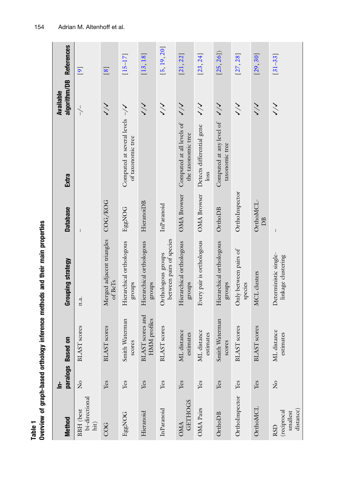|     | ٠ |
|-----|---|
|     |   |
|     |   |
|     |   |
|     |   |
|     |   |
|     |   |
|     |   |
|     |   |
|     |   |
|     |   |
| Φ   |   |
|     |   |
|     |   |
|     |   |
|     |   |
|     |   |
| Tab | ĺ |
|     |   |
|     |   |

| allo<br>o                                                |
|----------------------------------------------------------|
|                                                          |
|                                                          |
|                                                          |
| Overview of graph-based orthology inference methods<br>ļ |
| 5<br>5                                                   |
| b<br>D<br>D<br>D                                         |

<span id="page-5-0"></span>

| <b>Method</b>                                     | paralogs Based<br>흐   | $\overline{a}$                                    | Grouping strategy                              | <b>Database</b>                        | Extra                                                       | algorithm/DB References<br>Available |                |
|---------------------------------------------------|-----------------------|---------------------------------------------------|------------------------------------------------|----------------------------------------|-------------------------------------------------------------|--------------------------------------|----------------|
| bi-directional<br>BBH (best<br>hit)               | $\mathcal{L}^{\circ}$ | scores<br>BLAST                                   | 11.a.                                          | I                                      |                                                             | $\searrow$                           | $\overline{6}$ |
| COG                                               | Yes                   | scores<br>BLAST                                   | Merged adjacent triangles<br>of BeTs           | COG/KOG                                |                                                             | $\checkmark$                         | $\boxed{8}$    |
| <b>EggNOG</b>                                     | Yes                   | Smith Waterman<br>scores                          | Hierarchical orthologous<br>sdno.fa            | <b>EggNOG</b>                          | Computed at several levels $-\sqrt{2}$<br>of taxonomic tree |                                      | $[15 - 17]$    |
| Hieranoid                                         | Yes                   | scores and<br><b>HMM</b> profiles<br><b>BLAST</b> | Hierarchical orthologous<br>groups             | <b>HieranoiDB</b>                      |                                                             | $\frac{1}{2}$                        | [13, 18]       |
| InParanoid                                        | Yes                   | scores<br><b>BLAST</b>                            | between pairs of species<br>Orthologous groups | InParanoid                             |                                                             | $\checkmark$                         | [5, 19, 20]    |
| <b>GETHOGS</b><br><b>OMA</b>                      | Yes                   | ML distance<br>estimates                          | Hierarchical orthologous<br>groups             | <b>OMA Browser</b>                     | Computed at all levels of<br>the taxonomic tree             | ンノ                                   | [21, 22]       |
| <b>OMA</b> Pairs                                  | Yes                   | ML distance<br>estimates                          | Every pair is orthologous                      | <b>OMA</b> Browser                     | Detects differential gene<br>loss                           | ンノ                                   | [23, 24]       |
| <b>OrthoDB</b>                                    | Yes                   | Smith Waterman<br>scores                          | Hierarchical orthologous<br>stonbs             | <b>OrthoDB</b>                         | Computed at any level of<br>taxonomic tree                  | $\frac{1}{2}$                        | [25, 26]       |
| OrthoInspector                                    | Yes                   | scores<br><b>BLAST</b>                            | Only between pairs of<br>species               | OrthoInspector                         |                                                             | $\frac{1}{2}$                        | [27, 28]       |
| OrthoMCL                                          | Yes                   | scores<br>BLAST                                   | <b>MCL</b> clusters                            | OrthoMCL-<br>$\mathbb{D}^{\mathbb{R}}$ |                                                             | ンノ                                   | [29, 30]       |
| distance<br>(reciprocal<br>smallest<br><b>RSD</b> | $\mathbf{\hat{z}}$    | ML distance<br>estimates                          | Deterministic single-<br>linkage clustering    | $\overline{\phantom{a}}$               |                                                             | $\frac{1}{2}$                        | $[31-33]$      |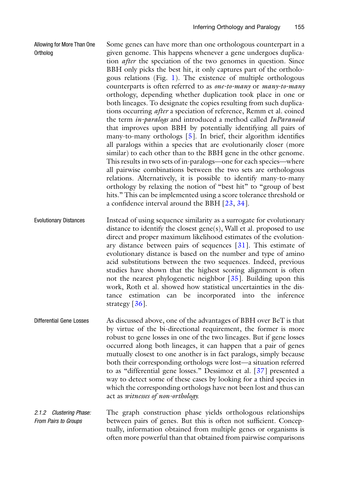Allowing for More Than One Ortholog Some genes can have more than one orthologous counterpart in a given genome. This happens whenever a gene undergoes duplication after the speciation of the two genomes in question. Since BBH only picks the best hit, it only captures part of the orthologous relations (Fig. [1](#page-1-0)). The existence of multiple orthologous counterparts is often referred to as one-to-many or many-to-many orthology, depending whether duplication took place in one or both lineages. To designate the copies resulting from such duplications occurring after a speciation of reference, Remm et al. coined the term in-paralogs and introduced a method called InParanoid that improves upon BBH by potentially identifying all pairs of many-to-many orthologs  $[5]$  $[5]$  $[5]$ . In brief, their algorithm identifies all paralogs within a species that are evolutionarily closer (more similar) to each other than to the BBH gene in the other genome. This results in two sets of in-paralogs—one for each species—where all pairwise combinations between the two sets are orthologous relations. Alternatively, it is possible to identify many-to-many orthology by relaxing the notion of "best hit" to "group of best hits." This can be implemented using a score tolerance threshold or a confidence interval around the BBH [\[23](#page-23-3), [34\]](#page-23-13).

Evolutionary Distances Instead of using sequence similarity as a surrogate for evolutionary distance to identify the closest gene(s), Wall et al. proposed to use direct and proper maximum likelihood estimates of the evolutionary distance between pairs of sequences [\[31\]](#page-23-11). This estimate of evolutionary distance is based on the number and type of amino acid substitutions between the two sequences. Indeed, previous studies have shown that the highest scoring alignment is often not the nearest phylogenetic neighbor [[35](#page-23-14)]. Building upon this work, Roth et al. showed how statistical uncertainties in the distance estimation can be incorporated into the inference strategy  $\lceil 36 \rceil$ .

Differential Gene Losses As discussed above, one of the advantages of BBH over BeT is that by virtue of the bi-directional requirement, the former is more robust to gene losses in one of the two lineages. But if gene losses occurred along both lineages, it can happen that a pair of genes mutually closest to one another is in fact paralogs, simply because both their corresponding orthologs were lost—a situation referred to as "differential gene losses." Dessimoz et al. [\[37\]](#page-23-16) presented a way to detect some of these cases by looking for a third species in which the corresponding orthologs have not been lost and thus can act as witnesses of non-orthology.

2.1.2 Clustering Phase: From Pairs to Groups The graph construction phase yields orthologous relationships between pairs of genes. But this is often not sufficient. Conceptually, information obtained from multiple genes or organisms is often more powerful than that obtained from pairwise comparisons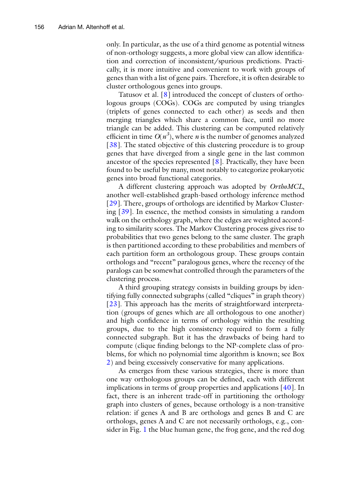only. In particular, as the use of a third genome as potential witness of non-orthology suggests, a more global view can allow identification and correction of inconsistent/spurious predictions. Practically, it is more intuitive and convenient to work with groups of genes than with a list of gene pairs. Therefore, it is often desirable to cluster orthologous genes into groups.

Tatusov et al. [[8\]](#page-22-7) introduced the concept of clusters of orthologous groups (COGs). COGs are computed by using triangles (triplets of genes connected to each other) as seeds and then merging triangles which share a common face, until no more triangle can be added. This clustering can be computed relatively efficient in time  $O(n^3)$ , where *n* is the number of genomes analyzed [[38\]](#page-23-17). The stated objective of this clustering procedure is to group genes that have diverged from a single gene in the last common ancestor of the species represented  $[8]$  $[8]$  $[8]$ . Practically, they have been found to be useful by many, most notably to categorize prokaryotic genes into broad functional categories.

A different clustering approach was adopted by OrthoMCL, another well-established graph-based orthology inference method [[29\]](#page-23-9). There, groups of orthologs are identified by Markov Clustering [[39](#page-23-18)]. In essence, the method consists in simulating a random walk on the orthology graph, where the edges are weighted according to similarity scores. The Markov Clustering process gives rise to probabilities that two genes belong to the same cluster. The graph is then partitioned according to these probabilities and members of each partition form an orthologous group. These groups contain orthologs and "recent" paralogous genes, where the recency of the paralogs can be somewhat controlled through the parameters of the clustering process.

A third grouping strategy consists in building groups by identifying fully connected subgraphs (called "cliques" in graph theory) [[23\]](#page-23-3). This approach has the merits of straightforward interpretation (groups of genes which are all orthologous to one another) and high confidence in terms of orthology within the resulting groups, due to the high consistency required to form a fully connected subgraph. But it has the drawbacks of being hard to compute (clique finding belongs to the NP-complete class of problems, for which no polynomial time algorithm is known; see Box [2\)](#page-4-0) and being excessively conservative for many applications.

As emerges from these various strategies, there is more than one way orthologous groups can be defined, each with different implications in terms of group properties and applications [[40\]](#page-23-19). In fact, there is an inherent trade-off in partitioning the orthology graph into clusters of genes, because orthology is a non-transitive relation: if genes A and B are orthologs and genes B and C are orthologs, genes A and C are not necessarily orthologs, e.g., consider in Fig. [1](#page-1-0) the blue human gene, the frog gene, and the red dog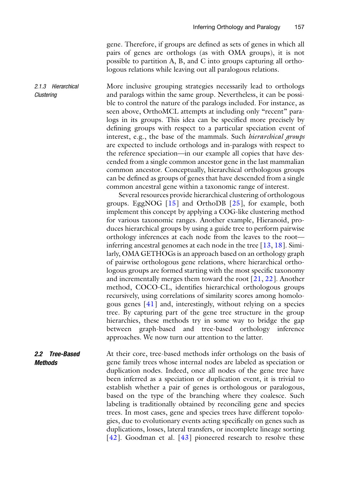gene. Therefore, if groups are defined as sets of genes in which all pairs of genes are orthologs (as with OMA groups), it is not possible to partition A, B, and C into groups capturing all orthologous relations while leaving out all paralogous relations.

2.1.3 Hierarchical More inclusive grouping strategies necessarily lead to orthologs and paralogs within the same group. Nevertheless, it can be possible to control the nature of the paralogs included. For instance, as seen above, OrthoMCL attempts at including only "recent" paralogs in its groups. This idea can be specified more precisely by defining groups with respect to a particular speciation event of interest, e.g., the base of the mammals. Such *hierarchical groups* are expected to include orthologs and in-paralogs with respect to the reference speciation—in our example all copies that have descended from a single common ancestor gene in the last mammalian common ancestor. Conceptually, hierarchical orthologous groups can be defined as groups of genes that have descended from a single common ancestral gene within a taxonomic range of interest.

**Clustering** 

Several resources provide hierarchical clustering of orthologous groups. EggNOG [[15](#page-22-4)] and OrthoDB [[25\]](#page-23-5), for example, both implement this concept by applying a COG-like clustering method for various taxonomic ranges. Another example, Hieranoid, produces hierarchical groups by using a guide tree to perform pairwise orthology inferences at each node from the leaves to the root inferring ancestral genomes at each node in the tree  $[13, 18]$  $[13, 18]$  $[13, 18]$  $[13, 18]$  $[13, 18]$ . Similarly, OMA GETHOGs is an approach based on an orthology graph of pairwise orthologous gene relations, where hierarchical orthologous groups are formed starting with the most specific taxonomy and incrementally merges them toward the root  $[21, 22]$  $[21, 22]$  $[21, 22]$  $[21, 22]$ . Another method, COCO-CL, identifies hierarchical orthologous groups recursively, using correlations of similarity scores among homologous genes [\[41\]](#page-23-20) and, interestingly, without relying on a species tree. By capturing part of the gene tree structure in the group hierarchies, these methods try in some way to bridge the gap between graph-based and tree-based orthology inference approaches. We now turn our attention to the latter.

2.2 Tree-Based **Methods** At their core, tree-based methods infer orthologs on the basis of gene family trees whose internal nodes are labeled as speciation or duplication nodes. Indeed, once all nodes of the gene tree have been inferred as a speciation or duplication event, it is trivial to establish whether a pair of genes is orthologous or paralogous, based on the type of the branching where they coalesce. Such labeling is traditionally obtained by reconciling gene and species trees. In most cases, gene and species trees have different topologies, due to evolutionary events acting specifically on genes such as duplications, losses, lateral transfers, or incomplete lineage sorting [[42\]](#page-23-21). Goodman et al. [[43](#page-23-22)] pioneered research to resolve these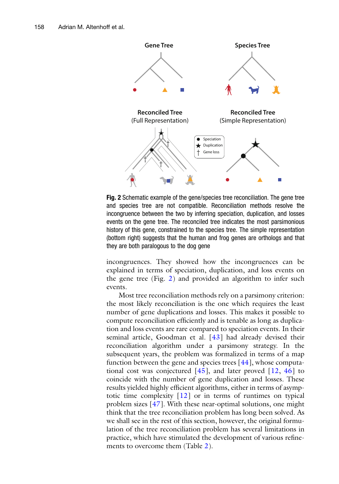<span id="page-9-0"></span>

Fig. 2 Schematic example of the gene/species tree reconciliation. The gene tree and species tree are not compatible. Reconciliation methods resolve the incongruence between the two by inferring speciation, duplication, and losses events on the gene tree. The reconciled tree indicates the most parsimonious history of this gene, constrained to the species tree. The simple representation (bottom right) suggests that the human and frog genes are orthologs and that they are both paralogous to the dog gene

incongruences. They showed how the incongruences can be explained in terms of speciation, duplication, and loss events on the gene tree (Fig. [2](#page-9-0)) and provided an algorithm to infer such events.

Most tree reconciliation methods rely on a parsimony criterion: the most likely reconciliation is the one which requires the least number of gene duplications and losses. This makes it possible to compute reconciliation efficiently and is tenable as long as duplication and loss events are rare compared to speciation events. In their seminal article, Goodman et al. [[43\]](#page-23-22) had already devised their reconciliation algorithm under a parsimony strategy. In the subsequent years, the problem was formalized in terms of a map function between the gene and species trees  $[44]$  $[44]$ , whose computational cost was conjectured  $[45]$ , and later proved  $[12, 46]$  $[12, 46]$  $[12, 46]$  $[12, 46]$  to coincide with the number of gene duplication and losses. These results yielded highly efficient algorithms, either in terms of asymptotic time complexity [[12\]](#page-22-10) or in terms of runtimes on typical problem sizes [\[47\]](#page-23-26). With these near-optimal solutions, one might think that the tree reconciliation problem has long been solved. As we shall see in the rest of this section, however, the original formulation of the tree reconciliation problem has several limitations in practice, which have stimulated the development of various refinements to overcome them (Table [2\)](#page-10-0).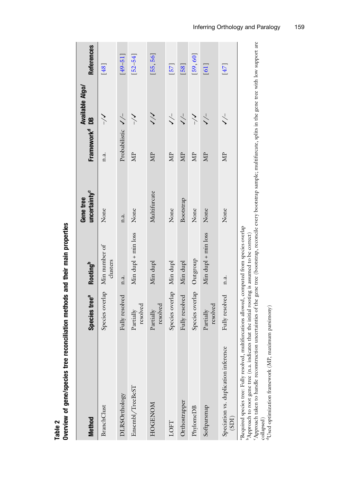<span id="page-10-0"></span>

| <b>Method</b>                                                                                                                                                                                                    | Species tree <sup>a</sup>     | Rooting <sup>b</sup> | uncertainty <sup>c</sup><br>Gene tree | Framework <sup>d</sup> DB | Available Algo/ | <b>References</b>                  |
|------------------------------------------------------------------------------------------------------------------------------------------------------------------------------------------------------------------|-------------------------------|----------------------|---------------------------------------|---------------------------|-----------------|------------------------------------|
| <b>BranchClust</b>                                                                                                                                                                                               | Species overlap Min number of | clusters             | None                                  | n.a.                      | $\frac{1}{1}$   | $[48]$                             |
| DLRSOrthology                                                                                                                                                                                                    | Fully resolved                | n.a.                 | n.a.                                  | Probabilistic $\sqrt{2}$  |                 | $[49 - 51]$                        |
| Ensembl/TreeBeST                                                                                                                                                                                                 | resolved<br>Partially         | Min dupl + min loss  | None                                  | $\mathbb{Z}^{\mathbb{C}}$ | $\checkmark$    | $[52 - 54]$                        |
| HOGENOM                                                                                                                                                                                                          | resolved<br>Partially         | Min dupl             | Multifurcate                          | <b>SH</b>                 | $\checkmark$    | [55, 56]                           |
| LOFT                                                                                                                                                                                                             | Species overlap               | Min dupl             | None                                  | <b>XIP</b>                | $\searrow$      | $\begin{bmatrix} 57 \end{bmatrix}$ |
| Orthostrapper                                                                                                                                                                                                    | Fully resolved                | Min dupl             | Bootstrap                             | <b>Z</b>                  | $\searrow$      | $[58]$                             |
| PhylomeDB                                                                                                                                                                                                        | Species overlap               | Outgroup             | None                                  | Ř                         | $\checkmark$    | [59, 60]                           |
| Softparsmap                                                                                                                                                                                                      | resolved<br>Partially         | Min dupl + min loss  | None                                  | <b>SH</b>                 | $\searrow$      | $[61]$                             |
| Speciation vs. duplication inference<br>(SDI)                                                                                                                                                                    | Fully resolved                | 11.a.                | None                                  | ЙP                        | $\searrow$      | $[47]$                             |
| "Required species tree: Fully resolved, multifurcations allowed, computed from species overlap<br>DA secondo a cha a composta de la componitación de la componitación de la componitación de la componitación de |                               |                      |                                       |                           |                 |                                    |

Table 2<br>Overview of gene/species tree reconciliation methods and their main properties Overview of gene/species tree reconciliation methods and their main properties

bApproach to root gene tree (n.a. indicates that the initial rooting is assumed to be correct)

"Approach to root gene tree (n.a. indicates that the initial rooting is assumed to be correct)<br>"Approach taken to handle reconstruction uncertainties of the gene tree (bootstrap, reconcile every bootstrap sample; multifurc cApproach taken to handle reconstruction uncertainties of the gene tree (bootstrap, reconcile every bootstrap sample; multifurcate, splits in the gene tree with low support are collapsed)<br><sup>4</sup>Used optimization framework (MP, maximum parsimony)

dUsed optimization framework (MP, maximum parsimony)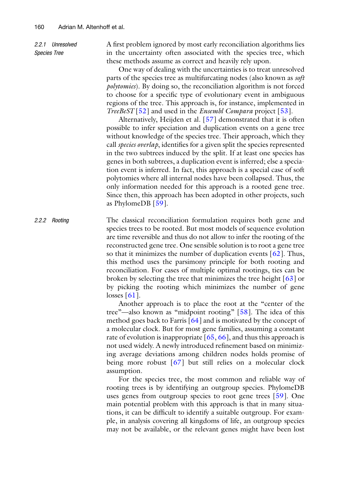2.2.1 Unresolved Species Tree

A first problem ignored by most early reconciliation algorithms lies in the uncertainty often associated with the species tree, which these methods assume as correct and heavily rely upon.

One way of dealing with the uncertainties is to treat unresolved parts of the species tree as multifurcating nodes (also known as soft polytomies). By doing so, the reconciliation algorithm is not forced to choose for a specific type of evolutionary event in ambiguous regions of the tree. This approach is, for instance, implemented in TreeBeST [\[52](#page-24-3)] and used in the *Ensembl Compara* project [[53](#page-24-12)].

Alternatively, Heijden et al. [\[57](#page-24-7)] demonstrated that it is often possible to infer speciation and duplication events on a gene tree without knowledge of the species tree. Their approach, which they call *species overlap*, identifies for a given split the species represented in the two subtrees induced by the split. If at least one species has genes in both subtrees, a duplication event is inferred; else a speciation event is inferred. In fact, this approach is a special case of soft polytomies where all internal nodes have been collapsed. Thus, the only information needed for this approach is a rooted gene tree. Since then, this approach has been adopted in other projects, such as PhylomeDB [[59](#page-24-9)].

2.2.2 Rooting The classical reconciliation formulation requires both gene and species trees to be rooted. But most models of sequence evolution are time reversible and thus do not allow to infer the rooting of the reconstructed gene tree. One sensible solution is to root a gene tree so that it minimizes the number of duplication events  $[62]$  $[62]$ . Thus, this method uses the parsimony principle for both rooting and reconciliation. For cases of multiple optimal rootings, ties can be broken by selecting the tree that minimizes the tree height [\[63\]](#page-24-1) or by picking the rooting which minimizes the number of gene losses  $[6]$ .

> Another approach is to place the root at the "center of the tree"—also known as "midpoint rooting" [[58](#page-24-8)]. The idea of this method goes back to Farris [\[64](#page-24-14)] and is motivated by the concept of a molecular clock. But for most gene families, assuming a constant rate of evolution is inappropriate  $[65, 66]$  $[65, 66]$  $[65, 66]$  $[65, 66]$ , and thus this approach is not used widely. A newly introduced refinement based on minimizing average deviations among children nodes holds promise of being more robust [\[67](#page-24-17)] but still relies on a molecular clock assumption.

> For the species tree, the most common and reliable way of rooting trees is by identifying an outgroup species. PhylomeDB uses genes from outgroup species to root gene trees [[59\]](#page-24-9). One main potential problem with this approach is that in many situations, it can be difficult to identify a suitable outgroup. For example, in analysis covering all kingdoms of life, an outgroup species may not be available, or the relevant genes might have been lost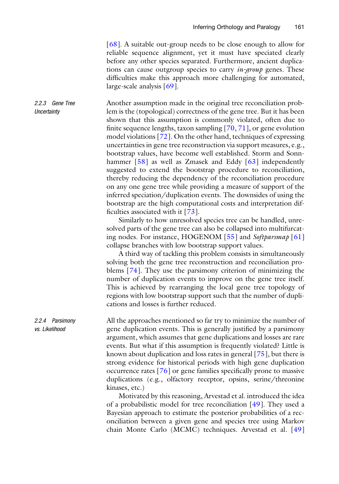[[68\]](#page-24-18). A suitable out-group needs to be close enough to allow for reliable sequence alignment, yet it must have speciated clearly before any other species separated. Furthermore, ancient duplications can cause outgroup species to carry *in-group* genes. These difficulties make this approach more challenging for automated, large-scale analysis [\[69](#page-24-19)].

2.2.3 Gene Tree **Uncertainty** Another assumption made in the original tree reconciliation problem is the (topological) correctness of the gene tree. But it has been shown that this assumption is commonly violated, often due to finite sequence lengths, taxon sampling [[70](#page-24-20), [71](#page-24-21)], or gene evolution model violations [\[72\]](#page-24-22). On the other hand, techniques of expressing uncertainties in gene tree reconstruction via support measures, e.g., bootstrap values, have become well established. Storm and Sonnhammer  $\lceil 58 \rceil$  $\lceil 58 \rceil$  $\lceil 58 \rceil$  as well as Zmasek and Eddy  $\lceil 63 \rceil$  independently suggested to extend the bootstrap procedure to reconciliation, thereby reducing the dependency of the reconciliation procedure on any one gene tree while providing a measure of support of the inferred speciation/duplication events. The downsides of using the bootstrap are the high computational costs and interpretation difficulties associated with it  $[73]$  $[73]$  $[73]$ .

> Similarly to how unresolved species tree can be handled, unresolved parts of the gene tree can also be collapsed into multifurcat-ing nodes. For instance, HOGENOM [[55\]](#page-24-5) and Softparsmap [[61](#page-24-11)] collapse branches with low bootstrap support values.

> A third way of tackling this problem consists in simultaneously solving both the gene tree reconstruction and reconciliation problems [[74\]](#page-24-24). They use the parsimony criterion of minimizing the number of duplication events to improve on the gene tree itself. This is achieved by rearranging the local gene tree topology of regions with low bootstrap support such that the number of duplications and losses is further reduced.

All the approaches mentioned so far try to minimize the number of gene duplication events. This is generally justified by a parsimony argument, which assumes that gene duplications and losses are rare events. But what if this assumption is frequently violated? Little is known about duplication and loss rates in general [[75](#page-24-25)], but there is strong evidence for historical periods with high gene duplication occurrence rates [[76\]](#page-24-26) or gene families specifically prone to massive duplications (e.g., olfactory receptor, opsins, serine/threonine kinases, etc.)

Motivated by this reasoning, Arvestad et al. introduced the idea of a probabilistic model for tree reconciliation [[49\]](#page-24-1). They used a Bayesian approach to estimate the posterior probabilities of a reconciliation between a given gene and species tree using Markov chain Monte Carlo (MCMC) techniques. Arvestad et al. [[49](#page-24-1)]

<span id="page-12-0"></span>2.2.4 Parsimony vs. Likelihood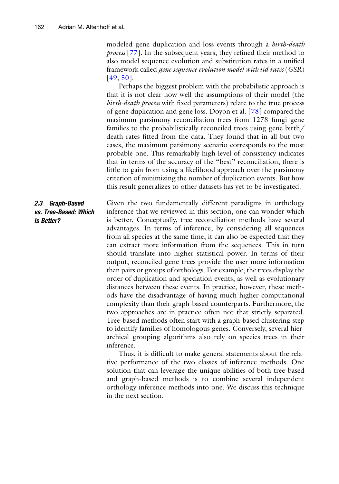modeled gene duplication and loss events through a *birth-death* process [\[77](#page-25-0)]. In the subsequent years, they refined their method to also model sequence evolution and substitution rates in a unified framework called gene sequence evolution model with iid rates (GSR) [[49,](#page-24-1) [50](#page-24-14)].

Perhaps the biggest problem with the probabilistic approach is that it is not clear how well the assumptions of their model (the birth-death process with fixed parameters) relate to the true process of gene duplication and gene loss. Doyon et al. [[78\]](#page-25-1) compared the maximum parsimony reconciliation trees from 1278 fungi gene families to the probabilistically reconciled trees using gene birth/ death rates fitted from the data. They found that in all but two cases, the maximum parsimony scenario corresponds to the most probable one. This remarkably high level of consistency indicates that in terms of the accuracy of the "best" reconciliation, there is little to gain from using a likelihood approach over the parsimony criterion of minimizing the number of duplication events. But how this result generalizes to other datasets has yet to be investigated.

2.3 Graph-Based vs. Tree-Based: Which Is Better? Given the two fundamentally different paradigms in orthology inference that we reviewed in this section, one can wonder which is better. Conceptually, tree reconciliation methods have several advantages. In terms of inference, by considering all sequences from all species at the same time, it can also be expected that they can extract more information from the sequences. This in turn should translate into higher statistical power. In terms of their output, reconciled gene trees provide the user more information than pairs or groups of orthologs. For example, the trees display the order of duplication and speciation events, as well as evolutionary distances between these events. In practice, however, these methods have the disadvantage of having much higher computational complexity than their graph-based counterparts. Furthermore, the two approaches are in practice often not that strictly separated. Tree-based methods often start with a graph-based clustering step to identify families of homologous genes. Conversely, several hierarchical grouping algorithms also rely on species trees in their inference.

Thus, it is difficult to make general statements about the relative performance of the two classes of inference methods. One solution that can leverage the unique abilities of both tree-based and graph-based methods is to combine several independent orthology inference methods into one. We discuss this technique in the next section.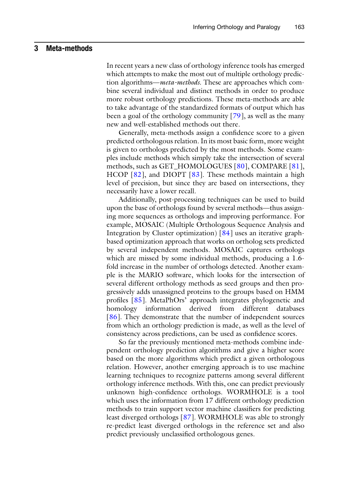# 3 Meta-methods

In recent years a new class of orthology inference tools has emerged which attempts to make the most out of multiple orthology prediction algorithms—*meta-methods*. These are approaches which combine several individual and distinct methods in order to produce more robust orthology predictions. These meta-methods are able to take advantage of the standardized formats of output which has been a goal of the orthology community [\[79\]](#page-25-2), as well as the many new and well-established methods out there.

Generally, meta-methods assign a confidence score to a given predicted orthologous relation. In its most basic form, more weight is given to orthologs predicted by the most methods. Some examples include methods which simply take the intersection of several methods, such as GET\_HOMOLOGUES [[80](#page-25-3)], COMPARE [[81](#page-25-4)], HCOP [[82\]](#page-25-5), and DIOPT [[83](#page-25-6)]. These methods maintain a high level of precision, but since they are based on intersections, they necessarily have a lower recall.

Additionally, post-processing techniques can be used to build upon the base of orthologs found by several methods—thus assigning more sequences as orthologs and improving performance. For example, MOSAIC (Multiple Orthologous Sequence Analysis and Integration by Cluster optimization) [[84](#page-25-7)] uses an iterative graphbased optimization approach that works on ortholog sets predicted by several independent methods. MOSAIC captures orthologs which are missed by some individual methods, producing a 1.6 fold increase in the number of orthologs detected. Another example is the MARIO software, which looks for the intersection of several different orthology methods as seed groups and then progressively adds unassigned proteins to the groups based on HMM profiles [[85\]](#page-25-8). MetaPhOrs' approach integrates phylogenetic and homology information derived from different databases [[86\]](#page-25-9). They demonstrate that the number of independent sources from which an orthology prediction is made, as well as the level of consistency across predictions, can be used as confidence scores.

So far the previously mentioned meta-methods combine independent orthology prediction algorithms and give a higher score based on the more algorithms which predict a given orthologous relation. However, another emerging approach is to use machine learning techniques to recognize patterns among several different orthology inference methods. With this, one can predict previously unknown high-confidence orthologs. WORMHOLE is a tool which uses the information from 17 different orthology prediction methods to train support vector machine classifiers for predicting least diverged orthologs [\[87\]](#page-25-10). WORMHOLE was able to strongly re-predict least diverged orthologs in the reference set and also predict previously unclassified orthologous genes.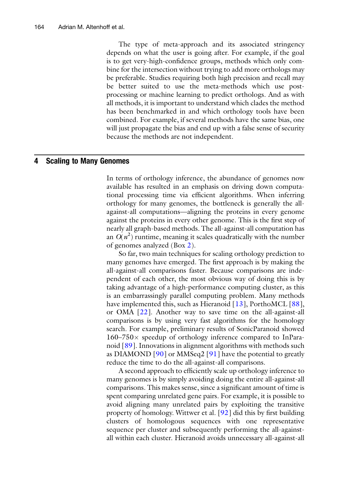The type of meta-approach and its associated stringency depends on what the user is going after. For example, if the goal is to get very-high-confidence groups, methods which only combine for the intersection without trying to add more orthologs may be preferable. Studies requiring both high precision and recall may be better suited to use the meta-methods which use postprocessing or machine learning to predict orthologs. And as with all methods, it is important to understand which clades the method has been benchmarked in and which orthology tools have been combined. For example, if several methods have the same bias, one will just propagate the bias and end up with a false sense of security because the methods are not independent.

# 4 Scaling to Many Genomes

In terms of orthology inference, the abundance of genomes now available has resulted in an emphasis on driving down computational processing time via efficient algorithms. When inferring orthology for many genomes, the bottleneck is generally the allagainst-all computations—aligning the proteins in every genome against the proteins in every other genome. This is the first step of nearly all graph-based methods. The all-against-all computation has an  $O(n^2)$  runtime, meaning it scales quadratically with the number of genomes analyzed (Box [2\)](#page-4-0).

So far, two main techniques for scaling orthology prediction to many genomes have emerged. The first approach is by making the all-against-all comparisons faster. Because comparisons are independent of each other, the most obvious way of doing this is by taking advantage of a high-performance computing cluster, as this is an embarrassingly parallel computing problem. Many methods have implemented this, such as Hieranoid [\[13](#page-22-11)], PorthoMCL [[88](#page-25-11)], or OMA [[22](#page-23-2)]. Another way to save time on the all-against-all comparisons is by using very fast algorithms for the homology search. For example, preliminary results of SonicParanoid showed  $160-750\times$  speedup of orthology inference compared to InParanoid [[89](#page-25-12)]. Innovations in alignment algorithms with methods such as DIAMOND [\[90](#page-25-13)] or MMSeq2 [[91](#page-25-0)] have the potential to greatly reduce the time to do the all-against-all comparisons.

A second approach to efficiently scale up orthology inference to many genomes is by simply avoiding doing the entire all-against-all comparisons. This makes sense, since a significant amount of time is spent comparing unrelated gene pairs. For example, it is possible to avoid aligning many unrelated pairs by exploiting the transitive property of homology. Wittwer et al. [[92](#page-25-14)] did this by first building clusters of homologous sequences with one representative sequence per cluster and subsequently performing the all-againstall within each cluster. Hieranoid avoids unnecessary all-against-all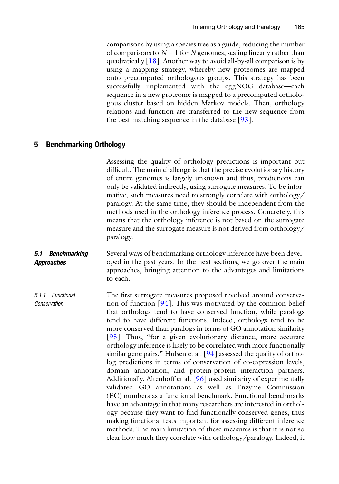comparisons by using a species tree as a guide, reducing the number of comparisons to  $N-1$  for N genomes, scaling linearly rather than quadratically  $[18]$  $[18]$ . Another way to avoid all-by-all comparison is by using a mapping strategy, whereby new proteomes are mapped onto precomputed orthologous groups. This strategy has been successfully implemented with the eggNOG database—each sequence in a new proteome is mapped to a precomputed orthologous cluster based on hidden Markov models. Then, orthology relations and function are transferred to the new sequence from the best matching sequence in the database [\[93](#page-25-15)].

# 5 Benchmarking Orthology

Assessing the quality of orthology predictions is important but difficult. The main challenge is that the precise evolutionary history of entire genomes is largely unknown and thus, predictions can only be validated indirectly, using surrogate measures. To be informative, such measures need to strongly correlate with orthology/ paralogy. At the same time, they should be independent from the methods used in the orthology inference process. Concretely, this means that the orthology inference is not based on the surrogate measure and the surrogate measure is not derived from orthology/ paralogy.

#### 5.1 Benchmarking Approaches Several ways of benchmarking orthology inference have been developed in the past years. In the next sections, we go over the main approaches, bringing attention to the advantages and limitations to each.

5.1.1 Functional Conservation The first surrogate measures proposed revolved around conservation of function [\[94](#page-25-16)]. This was motivated by the common belief that orthologs tend to have conserved function, while paralogs tend to have different functions. Indeed, orthologs tend to be more conserved than paralogs in terms of GO annotation similarity [[95\]](#page-25-17). Thus, "for a given evolutionary distance, more accurate orthology inference is likely to be correlated with more functionally similar gene pairs." Hulsen et al. [[94](#page-25-16)] assessed the quality of ortholog predictions in terms of conservation of co-expression levels, domain annotation, and protein-protein interaction partners. Additionally, Altenhoff et al. [[96\]](#page-25-18) used similarity of experimentally validated GO annotations as well as Enzyme Commission (EC) numbers as a functional benchmark. Functional benchmarks have an advantage in that many researchers are interested in orthology because they want to find functionally conserved genes, thus making functional tests important for assessing different inference methods. The main limitation of these measures is that it is not so clear how much they correlate with orthology/paralogy. Indeed, it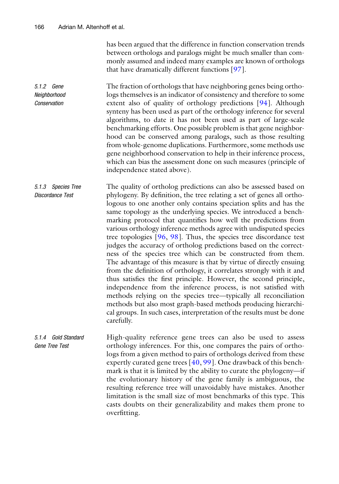has been argued that the difference in function conservation trends between orthologs and paralogs might be much smaller than commonly assumed and indeed many examples are known of orthologs that have dramatically different functions [[97\]](#page-25-19).

5.1.2 Gene **Neighborhood** Conservation The fraction of orthologs that have neighboring genes being orthologs themselves is an indicator of consistency and therefore to some extent also of quality of orthology predictions [[94\]](#page-25-16). Although synteny has been used as part of the orthology inference for several algorithms, to date it has not been used as part of large-scale benchmarking efforts. One possible problem is that gene neighborhood can be conserved among paralogs, such as those resulting from whole-genome duplications. Furthermore, some methods use gene neighborhood conservation to help in their inference process, which can bias the assessment done on such measures (principle of independence stated above).

5.1.3 Species Tree Discordance Test The quality of ortholog predictions can also be assessed based on phylogeny. By definition, the tree relating a set of genes all orthologous to one another only contains speciation splits and has the same topology as the underlying species. We introduced a benchmarking protocol that quantifies how well the predictions from various orthology inference methods agree with undisputed species tree topologies [[96,](#page-25-18) [98\]](#page-25-20). Thus, the species tree discordance test judges the accuracy of ortholog predictions based on the correctness of the species tree which can be constructed from them. The advantage of this measure is that by virtue of directly ensuing from the definition of orthology, it correlates strongly with it and thus satisfies the first principle. However, the second principle, independence from the inference process, is not satisfied with methods relying on the species tree—typically all reconciliation methods but also most graph-based methods producing hierarchical groups. In such cases, interpretation of the results must be done carefully.

5.1.4 Gold Standard Gene Tree Test High-quality reference gene trees can also be used to assess orthology inferences. For this, one compares the pairs of orthologs from a given method to pairs of orthologs derived from these expertly curated gene trees [\[40](#page-23-19), [99\]](#page-25-21). One drawback of this benchmark is that it is limited by the ability to curate the phylogeny—if the evolutionary history of the gene family is ambiguous, the resulting reference tree will unavoidably have mistakes. Another limitation is the small size of most benchmarks of this type. This casts doubts on their generalizability and makes them prone to overfitting.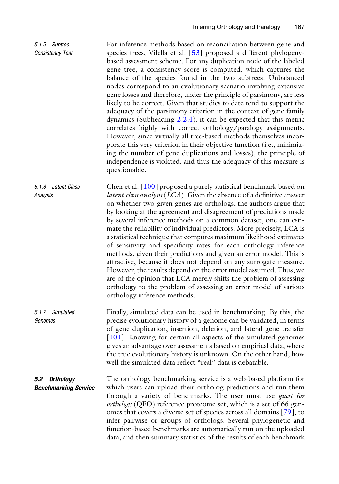5.1.5 Subtree Consistency Test For inference methods based on reconciliation between gene and species trees, Vilella et al. [[53](#page-24-12)] proposed a different phylogenybased assessment scheme. For any duplication node of the labeled gene tree, a consistency score is computed, which captures the balance of the species found in the two subtrees. Unbalanced nodes correspond to an evolutionary scenario involving extensive gene losses and therefore, under the principle of parsimony, are less likely to be correct. Given that studies to date tend to support the adequacy of the parsimony criterion in the context of gene family dynamics (Subheading [2.2.4](#page-12-0)), it can be expected that this metric correlates highly with correct orthology/paralogy assignments. However, since virtually all tree-based methods themselves incorporate this very criterion in their objective function (i.e., minimizing the number of gene duplications and losses), the principle of independence is violated, and thus the adequacy of this measure is questionable. 5.1.6 Latent Class Analysis Chen et al. [[100](#page-25-22)] proposed a purely statistical benchmark based on *latent class analysis* ( $LCA$ ). Given the absence of a definitive answer on whether two given genes are orthologs, the authors argue that by looking at the agreement and disagreement of predictions made by several inference methods on a common dataset, one can estimate the reliability of individual predictors. More precisely, LCA is a statistical technique that computes maximum likelihood estimates of sensitivity and specificity rates for each orthology inference methods, given their predictions and given an error model. This is attractive, because it does not depend on any surrogate measure. However, the results depend on the error model assumed. Thus, we are of the opinion that LCA merely shifts the problem of assessing orthology to the problem of assessing an error model of various orthology inference methods. 5.1.7 Simulated Genomes Finally, simulated data can be used in benchmarking. By this, the precise evolutionary history of a genome can be validated, in terms of gene duplication, insertion, deletion, and lateral gene transfer [[101\]](#page-25-23). Knowing for certain all aspects of the simulated genomes gives an advantage over assessments based on empirical data, where the true evolutionary history is unknown. On the other hand, how well the simulated data reflect "real" data is debatable. 5.2 Orthology Benchmarking Service The orthology benchmarking service is a web-based platform for which users can upload their ortholog predictions and run them through a variety of benchmarks. The user must use *quest for*  $orthology (QFO)$  reference proteome set, which is a set of 66 genomes that covers a diverse set of species across all domains [\[79](#page-25-2)], to infer pairwise or groups of orthologs. Several phylogenetic and

> function-based benchmarks are automatically run on the uploaded data, and then summary statistics of the results of each benchmark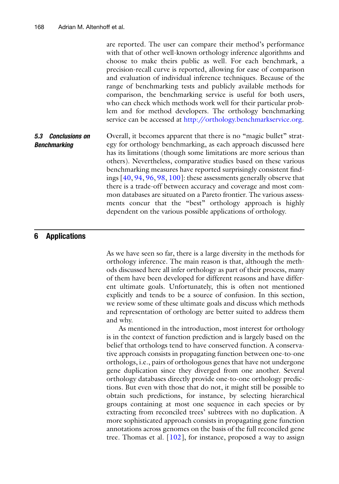|                                           | are reported. The user can compare their method's performance<br>with that of other well-known orthology inference algorithms and<br>choose to make theirs public as well. For each benchmark, a<br>precision-recall curve is reported, allowing for ease of comparison<br>and evaluation of individual inference techniques. Because of the<br>range of benchmarking tests and publicly available methods for<br>comparison, the benchmarking service is useful for both users,<br>who can check which methods work well for their particular prob-<br>lem and for method developers. The orthology benchmarking<br>service can be accessed at http://orthology.benchmarkservice.org.                     |
|-------------------------------------------|------------------------------------------------------------------------------------------------------------------------------------------------------------------------------------------------------------------------------------------------------------------------------------------------------------------------------------------------------------------------------------------------------------------------------------------------------------------------------------------------------------------------------------------------------------------------------------------------------------------------------------------------------------------------------------------------------------|
| 5.3 Conclusions on<br><b>Benchmarking</b> | Overall, it becomes apparent that there is no "magic bullet" strat-<br>egy for orthology benchmarking, as each approach discussed here<br>has its limitations (though some limitations are more serious than<br>others). Nevertheless, comparative studies based on these various<br>benchmarking measures have reported surprisingly consistent find-<br>ings $[40, 94, 96, 98, 100]$ : these assessments generally observe that<br>there is a trade-off between accuracy and coverage and most com-<br>mon databases are situated on a Pareto frontier. The various assess-<br>ments concur that the "best" orthology approach is highly<br>dependent on the various possible applications of orthology. |

# 6 Applications

As we have seen so far, there is a large diversity in the methods for orthology inference. The main reason is that, although the methods discussed here all infer orthology as part of their process, many of them have been developed for different reasons and have different ultimate goals. Unfortunately, this is often not mentioned explicitly and tends to be a source of confusion. In this section, we review some of these ultimate goals and discuss which methods and representation of orthology are better suited to address them and why.

As mentioned in the introduction, most interest for orthology is in the context of function prediction and is largely based on the belief that orthologs tend to have conserved function. A conservative approach consists in propagating function between one-to-one orthologs, i.e., pairs of orthologous genes that have not undergone gene duplication since they diverged from one another. Several orthology databases directly provide one-to-one orthology predictions. But even with those that do not, it might still be possible to obtain such predictions, for instance, by selecting hierarchical groups containing at most one sequence in each species or by extracting from reconciled trees' subtrees with no duplication. A more sophisticated approach consists in propagating gene function annotations across genomes on the basis of the full reconciled gene tree. Thomas et al.  $[102]$  $[102]$ , for instance, proposed a way to assign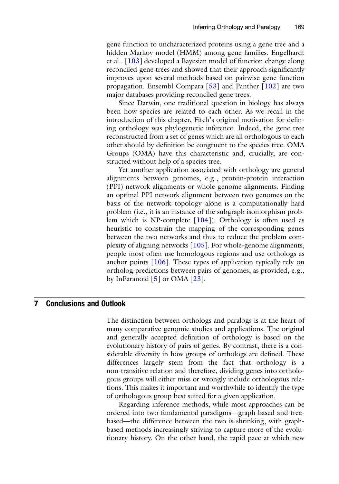gene function to uncharacterized proteins using a gene tree and a hidden Markov model (HMM) among gene families. Engelhardt et al.. [\[103\]](#page-25-25) developed a Bayesian model of function change along reconciled gene trees and showed that their approach significantly improves upon several methods based on pairwise gene function propagation. Ensembl Compara [\[53\]](#page-24-12) and Panther [[102\]](#page-25-24) are two major databases providing reconciled gene trees.

Since Darwin, one traditional question in biology has always been how species are related to each other. As we recall in the introduction of this chapter, Fitch's original motivation for defining orthology was phylogenetic inference. Indeed, the gene tree reconstructed from a set of genes which are all orthologous to each other should by definition be congruent to the species tree. OMA Groups (OMA) have this characteristic and, crucially, are constructed without help of a species tree.

Yet another application associated with orthology are general alignments between genomes, e.g., protein-protein interaction (PPI) network alignments or whole-genome alignments. Finding an optimal PPI network alignment between two genomes on the basis of the network topology alone is a computationally hard problem (i.e., it is an instance of the subgraph isomorphism problem which is NP-complete [[104](#page-26-0)]). Orthology is often used as heuristic to constrain the mapping of the corresponding genes between the two networks and thus to reduce the problem complexity of aligning networks  $[105]$  $[105]$ . For whole-genome alignments, people most often use homologous regions and use orthologs as anchor points [\[106\]](#page-26-2). These types of application typically rely on ortholog predictions between pairs of genomes, as provided, e.g., by InParanoid  $[5]$  or OMA  $[23]$  $[23]$  $[23]$ .

### 7 Conclusions and Outlook

The distinction between orthologs and paralogs is at the heart of many comparative genomic studies and applications. The original and generally accepted definition of orthology is based on the evolutionary history of pairs of genes. By contrast, there is a considerable diversity in how groups of orthologs are defined. These differences largely stem from the fact that orthology is a non-transitive relation and therefore, dividing genes into orthologous groups will either miss or wrongly include orthologous relations. This makes it important and worthwhile to identify the type of orthologous group best suited for a given application.

Regarding inference methods, while most approaches can be ordered into two fundamental paradigms—graph-based and treebased—the difference between the two is shrinking, with graphbased methods increasingly striving to capture more of the evolutionary history. On the other hand, the rapid pace at which new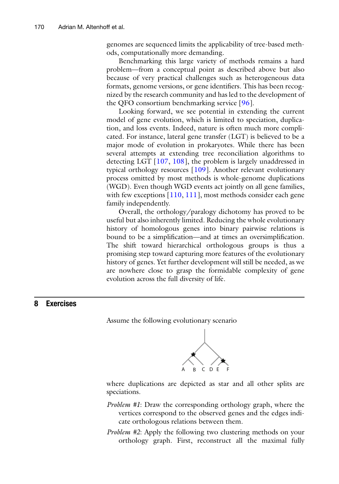genomes are sequenced limits the applicability of tree-based methods, computationally more demanding.

Benchmarking this large variety of methods remains a hard problem—from a conceptual point as described above but also because of very practical challenges such as heterogeneous data formats, genome versions, or gene identifiers. This has been recognized by the research community and has led to the development of the QFO consortium benchmarking service [\[96\]](#page-25-18).

Looking forward, we see potential in extending the current model of gene evolution, which is limited to speciation, duplication, and loss events. Indeed, nature is often much more complicated. For instance, lateral gene transfer (LGT) is believed to be a major mode of evolution in prokaryotes. While there has been several attempts at extending tree reconciliation algorithms to detecting LGT [\[107,](#page-26-3) [108\]](#page-26-0), the problem is largely unaddressed in typical orthology resources [\[109\]](#page-26-4). Another relevant evolutionary process omitted by most methods is whole-genome duplications (WGD). Even though WGD events act jointly on all gene families, with few exceptions [[110,](#page-26-5) [111\]](#page-26-6), most methods consider each gene family independently.

Overall, the orthology/paralogy dichotomy has proved to be useful but also inherently limited. Reducing the whole evolutionary history of homologous genes into binary pairwise relations is bound to be a simplification—and at times an oversimplification. The shift toward hierarchical orthologous groups is thus a promising step toward capturing more features of the evolutionary history of genes. Yet further development will still be needed, as we are nowhere close to grasp the formidable complexity of gene evolution across the full diversity of life.

# 8 Exercises

Assume the following evolutionary scenario



where duplications are depicted as star and all other splits are speciations.

- Problem #1: Draw the corresponding orthology graph, where the vertices correspond to the observed genes and the edges indicate orthologous relations between them.
- Problem #2: Apply the following two clustering methods on your orthology graph. First, reconstruct all the maximal fully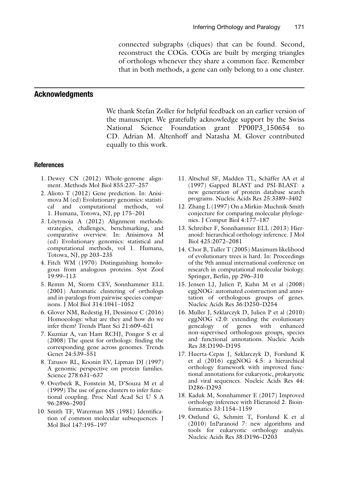connected subgraphs (cliques) that can be found. Second, reconstruct the COGs. COGs are built by merging triangles of orthologs whenever they share a common face. Remember that in both methods, a gene can only belong to a one cluster.

# Acknowledgments

We thank Stefan Zoller for helpful feedback on an earlier version of the manuscript. We gratefully acknowledge support by the Swiss National Science Foundation grant PP00P3\_150654 to CD. Adrian M. Altenhoff and Natasha M. Glover contributed equally to this work.

#### <span id="page-22-0"></span>References

- 1. Dewey CN (2012) Whole-genome alignment. Methods Mol Biol 855:237–257
- <span id="page-22-10"></span><span id="page-22-1"></span>2. Alioto T (2012) Gene prediction. In: Anisimova M (ed) Evolutionary genomics: statistical and computational methods, vol 1. Humana, Totowa, NJ, pp 175–201
- <span id="page-22-11"></span><span id="page-22-2"></span>3. Löytynoja A (2012) Alignment methods: strategies, challenges, benchmarking, and comparative overview. In: Anisimova M (ed) Evolutionary genomics: statistical and computational methods, vol 1. Humana, Totowa, NJ, pp 203–235
- <span id="page-22-12"></span><span id="page-22-3"></span>4. Fitch WM (1970) Distinguishing homologous from analogous proteins. Syst Zool 19:99–113
- <span id="page-22-4"></span>5. Remm M, Storm CEV, Sonnhammer ELL (2001) Automatic clustering of orthologs and in-paralogs from pairwise species comparisons. J Mol Biol 314:1041–1052
- <span id="page-22-5"></span>6. Glover NM, Redestig H, Dessimoz C (2016) Homoeologs: what are they and how do we infer them? Trends Plant Sci 21:609–621
- <span id="page-22-6"></span>7. Kuzniar A, van Ham RCHJ, Pongor S et al (2008) The quest for orthologs: finding the corresponding gene across genomes. Trends Genet 24:539–551
- <span id="page-22-13"></span><span id="page-22-7"></span>8. Tatusov RL, Koonin EV, Lipman DJ (1997) A genomic perspective on protein families. Science 278:631–637
- <span id="page-22-14"></span><span id="page-22-8"></span>9. Overbeek R, Fonstein M, D'Souza M et al (1999) The use of gene clusters to infer functional coupling. Proc Natl Acad Sci U S A 96:2896–2901
- <span id="page-22-15"></span><span id="page-22-9"></span>10. Smith TF, Waterman MS (1981) Identification of common molecular subsequences. J Mol Biol 147:195–197
- 11. Altschul SF, Madden TL, Schäffer AA et al (1997) Gapped BLAST and PSI-BLAST: a new generation of protein database search programs. Nucleic Acids Res 25:3389–3402
- 12. Zhang L (1997) On a Mirkin-Muchnik-Smith conjecture for comparing molecular phylogenies. J Comput Biol 4:177–187
- 13. Schreiber F, Sonnhammer ELL (2013) Hieranoid: hierarchical orthology inference. J Mol Biol 425:2072–2081
- 14. Chor B, Tuller T (2005) Maximum likelihood of evolutionary trees is hard. In: Proceedings of the 9th annual international conference on research in computational molecular biology. Springer, Berlin, pp 296–310
- 15. Jensen LJ, Julien P, Kuhn M et al (2008) eggNOG: automated construction and annotation of orthologous groups of genes. Nucleic Acids Res 36:D250–D254
- 16. Muller J, Szklarczyk D, Julien P et al (2010) eggNOG v2.0: extending the evolutionary genealogy of genes with enhanced non-supervised orthologous groups, species and functional annotations. Nucleic Acids Res 38:D190–D195
- 17. Huerta-Cepas J, Szklarczyk D, Forslund K et al (2016) eggNOG 4.5: a hierarchical orthology framework with improved functional annotations for eukaryotic, prokaryotic and viral sequences. Nucleic Acids Res 44: D286–D293
- 18. Kaduk M, Sonnhammer E (2017) Improved orthology inference with Hieranoid 2. Bioinformatics 33:1154–1159
- 19. Ostlund G, Schmitt T, Forslund K et al (2010) InParanoid 7: new algorithms and tools for eukaryotic orthology analysis. Nucleic Acids Res 38:D196–D203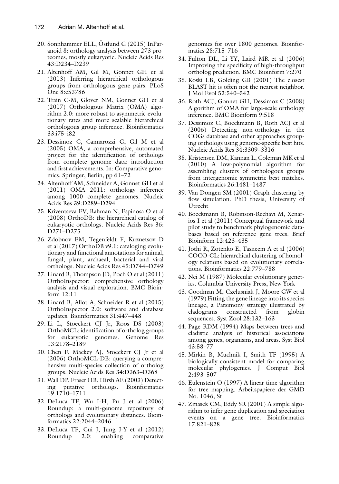- <span id="page-23-13"></span><span id="page-23-0"></span>20. Sonnhammer ELL, Östlund G (2015) InParanoid 8: orthology analysis between 273 proteomes, mostly eukaryotic. Nucleic Acids Res 43:D234–D239
- <span id="page-23-14"></span><span id="page-23-1"></span>21. Altenhoff AM, Gil M, Gonnet GH et al (2013) Inferring hierarchical orthologous groups from orthologous gene pairs. PLoS One 8:e53786
- <span id="page-23-16"></span><span id="page-23-15"></span><span id="page-23-2"></span>22. Train C-M, Glover NM, Gonnet GH et al (2017) Orthologous Matrix (OMA) algorithm 2.0: more robust to asymmetric evolutionary rates and more scalable hierarchical orthologous group inference. Bioinformatics 33:i75–i82
- <span id="page-23-17"></span><span id="page-23-3"></span>23. Dessimoz C, Cannarozzi G, Gil M et al (2005) OMA, a comprehensive, automated project for the identification of orthologs from complete genome data: introduction and first achievements. In: Comparative genomics. Springer, Berlin, pp 61–72
- <span id="page-23-18"></span><span id="page-23-4"></span>24. Altenhoff AM, Schneider A, Gonnet GH et al (2011) OMA 2011: orthology inference among 1000 complete genomes. Nucleic Acids Res 39:D289–D294
- <span id="page-23-19"></span><span id="page-23-5"></span>25. Kriventseva EV, Rahman N, Espinosa O et al (2008) OrthoDB: the hierarchical catalog of eukaryotic orthologs. Nucleic Acids Res 36: D271–D275
- <span id="page-23-20"></span><span id="page-23-6"></span>26. Zdobnov EM, Tegenfeldt F, Kuznetsov D et al (2017) OrthoDB v9.1: cataloging evolutionary and functional annotations for animal, fungal, plant, archaeal, bacterial and viral orthologs. Nucleic Acids Res 45:D744–D749
- <span id="page-23-21"></span><span id="page-23-7"></span>27. Linard B, Thompson JD, Poch O et al (2011) OrthoInspector: comprehensive orthology analysis and visual exploration. BMC Bioinform 12:11
- <span id="page-23-22"></span><span id="page-23-8"></span>28. Linard B, Allot A, Schneider R et al (2015) OrthoInspector 2.0: software and database updates. Bioinformatics 31:447–448
- <span id="page-23-23"></span><span id="page-23-9"></span>29. Li L, Stoeckert CJ Jr, Roos DS (2003) OrthoMCL: identification of ortholog groups for eukaryotic genomes. Genome Res 13:2178–2189
- <span id="page-23-24"></span><span id="page-23-10"></span>30. Chen F, Mackey AJ, Stoeckert CJ Jr et al (2006) OrthoMCL-DB: querying a comprehensive multi-species collection of ortholog groups. Nucleic Acids Res 34:D363–D368
- <span id="page-23-25"></span><span id="page-23-11"></span>31. Wall DP, Fraser HB, Hirsh AE (2003) Detecting putative orthologs. Bioinformatics 19:1710–1711
- <span id="page-23-26"></span>32. DeLuca TF, Wu I-H, Pu J et al (2006) Roundup: a multi-genome repository of orthologs and evolutionary distances. Bioinformatics 22:2044–2046
- <span id="page-23-12"></span>33. DeLuca TF, Cui J, Jung J-Y et al (2012) Roundup 2.0: enabling comparative

genomics for over 1800 genomes. Bioinformatics 28:715–716

- 34. Fulton DL, Li YY, Laird MR et al (2006) Improving the specificity of high-throughput ortholog prediction. BMC Bioinform 7:270
- 35. Koski LB, Golding GB (2001) The closest BLAST hit is often not the nearest neighbor. J Mol Evol 52:540–542
- 36. Roth ACJ, Gonnet GH, Dessimoz C (2008) Algorithm of OMA for large-scale orthology inference. BMC Bioinform 9:518
- 37. Dessimoz C, Boeckmann B, Roth ACJ et al (2006) Detecting non-orthology in the COGs database and other approaches grouping orthologs using genome-specific best hits. Nucleic Acids Res 34:3309–3316
- 38. Kristensen DM, Kannan L, Coleman MK et al (2010) A low-polynomial algorithm for assembling clusters of orthologous groups from intergenomic symmetric best matches. Bioinformatics 26:1481–1487
- 39. Van Dongen SM (2001) Graph clustering by flow simulation. PhD thesis, University of Utrecht
- 40. Boeckmann B, Robinson-Rechavi M, Xenarios I et al (2011) Conceptual framework and pilot study to benchmark phylogenomic databases based on reference gene trees. Brief Bioinform 12:423–435
- 41. Jothi R, Zotenko E, Tasneem A et al (2006) COCO-CL: hierarchical clustering of homology relations based on evolutionary correlations. Bioinformatics 22:779–788
- 42. Nei M (1987) Molecular evolutionary genetics. Columbia University Press, New York
- 43. Goodman M, Czelusniak J, Moore GW et al (1979) Fitting the gene lineage into its species lineage, a Parsimony strategy illustrated by cladograms constructed from globin sequences. Syst Zool 28:132–163
- 44. Page RDM (1994) Maps between trees and cladistic analysis of historical associations among genes, organisms, and areas. Syst Biol 43:58–77
- 45. Mirkin B, Muchnik I, Smith TF (1995) A biologically consistent model for comparing molecular phylogenies. J Comput Biol 2:493–507
- 46. Eulenstein O (1997) A linear time algorithm for tree mapping. Arbeitspapiere der GMD No. 1046, St
- 47. Zmasek CM, Eddy SR (2001) A simple algorithm to infer gene duplication and speciation events on a gene tree. Bioinformatics 17:821–828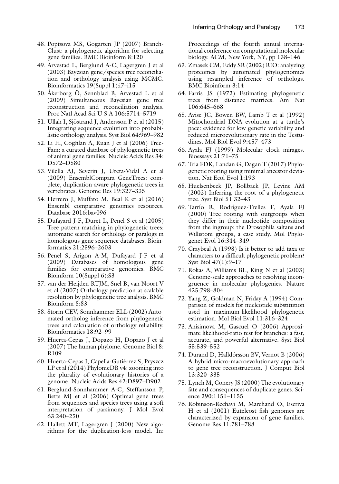- <span id="page-24-0"></span>48. Poptsova MS, Gogarten JP (2007) Branch-Clust: a phylogenetic algorithm for selecting gene families. BMC Bioinform 8:120
- <span id="page-24-1"></span>49. Arvestad L, Berglund A-C, Lagergren J et al (2003) Bayesian gene/species tree reconciliation and orthology analysis using MCMC. Bioinformatics 19(Suppl 1):i7–i15
- <span id="page-24-14"></span>50. Akerborg Ö, Sennblad B, Arvestad L et al (2009) Simultaneous Bayesian gene tree reconstruction and reconciliation analysis. Proc Natl Acad Sci U S A 106:5714–5719
- <span id="page-24-15"></span><span id="page-24-2"></span>51. Ullah I, Sjöstrand J, Andersson P et al (2015) Integrating sequence evolution into probabilistic orthology analysis. Syst Biol 64:969–982
- <span id="page-24-16"></span><span id="page-24-3"></span>52. Li H, Coghlan A, Ruan J et al (2006) Tree-Fam: a curated database of phylogenetic trees of animal gene families. Nucleic Acids Res 34: D572–D580
- <span id="page-24-18"></span><span id="page-24-17"></span><span id="page-24-12"></span>53. Vilella AJ, Severin J, Ureta-Vidal A et al (2009) EnsemblCompara GeneTrees: complete, duplication-aware phylogenetic trees in vertebrates. Genome Res 19:327–335
- <span id="page-24-19"></span><span id="page-24-4"></span>54. Herrero J, Muffato M, Beal K et al (2016) Ensembl comparative genomics resources. Database 2016:bav096
- <span id="page-24-5"></span>55. Dufayard J-F, Duret L, Penel S et al (2005) Tree pattern matching in phylogenetic trees: automatic search for orthologs or paralogs in homologous gene sequence databases. Bioinformatics 21:2596–2603
- <span id="page-24-21"></span><span id="page-24-20"></span><span id="page-24-6"></span>56. Penel S, Arigon A-M, Dufayard J-F et al (2009) Databases of homologous gene families for comparative genomics. BMC Bioinform 10(Suppl 6):S3
- <span id="page-24-22"></span><span id="page-24-7"></span>57. van der Heijden RTJM, Snel B, van Noort V et al (2007) Orthology prediction at scalable resolution by phylogenetic tree analysis. BMC Bioinform 8:83
- <span id="page-24-23"></span><span id="page-24-8"></span>58. Storm CEV, Sonnhammer ELL (2002) Automated ortholog inference from phylogenetic trees and calculation of orthology reliability. Bioinformatics 18:92–99
- <span id="page-24-9"></span>59. Huerta-Cepas J, Dopazo H, Dopazo J et al (2007) The human phylome. Genome Biol 8: R109
- <span id="page-24-24"></span><span id="page-24-10"></span>60. Huerta-Cepas J, Capella-Gutiérrez S, Pryszcz LP et al (2014) PhylomeDB v4: zooming into the plurality of evolutionary histories of a genome. Nucleic Acids Res 42:D897–D902
- <span id="page-24-26"></span><span id="page-24-25"></span><span id="page-24-11"></span>61. Berglund-Sonnhammer A-C, Steffansson P, Betts MJ et al (2006) Optimal gene trees from sequences and species trees using a soft interpretation of parsimony. J Mol Evol 63:240–250
- <span id="page-24-13"></span>62. Hallett MT, Lagergren J (2000) New algorithms for the duplication-loss model. In:

Proceedings of the fourth annual international conference on computational molecular biology. ACM, New York, NY, pp 138–146

- 63. Zmasek CM, Eddy SR (2002) RIO: analyzing proteomes by automated phylogenomics using resampled inference of orthologs. BMC Bioinform 3:14
- 64. Farris JS (1972) Estimating phylogenetic trees from distance matrices. Am Nat 106:645–668
- 65. Avise JC, Bowen BW, Lamb T et al (1992) Mitochondrial DNA evolution at a turtle's pace: evidence for low genetic variability and reduced microevolutionary rate in the Testudines. Mol Biol Evol 9:457–473
- 66. Ayala FJ (1999) Molecular clock mirages. Bioessays 21:71–75
- 67. Tria FDK, Landan G, Dagan T (2017) Phylogenetic rooting using minimal ancestor deviation. Nat Ecol Evol 1:193
- 68. Huelsenbeck JP, Bollback JP, Levine AM (2002) Inferring the root of a phylogenetic tree. Syst Biol 51:32–43
- 69. Tarrío R, Rodríguez-Trelles F, Ayala FJ (2000) Tree rooting with outgroups when they differ in their nucleotide composition from the ingroup: the Drosophila saltans and Willistoni groups, a case study. Mol Phylogenet Evol 16:344–349
- 70. Graybeal A (1998) Is it better to add taxa or characters to a difficult phylogenetic problem? Syst Biol 47(1):9–17
- 71. Rokas A, Williams BL, King N et al (2003) Genome-scale approaches to resolving incongruence in molecular phylogenies. Nature 425:798–804
- 72. Yang Z, Goldman N, Friday A (1994) Comparison of models for nucleotide substitution used in maximum-likelihood phylogenetic estimation. Mol Biol Evol 11:316–324
- 73. Anisimova M, Gascuel O (2006) Approximate likelihood-ratio test for branches: a fast, accurate, and powerful alternative. Syst Biol 55:539–552
- 74. Durand D, Halldórsson BV, Vernot B (2006) A hybrid micro-macroevolutionary approach to gene tree reconstruction. J Comput Biol 13:320–335
- 75. Lynch M, Conery JS (2000) The evolutionary fate and consequences of duplicate genes. Science 290:1151–1155
- 76. Robinson-Rechavi M, Marchand O, Escriva H et al (2001) Euteleost fish genomes are characterized by expansion of gene families. Genome Res 11:781–788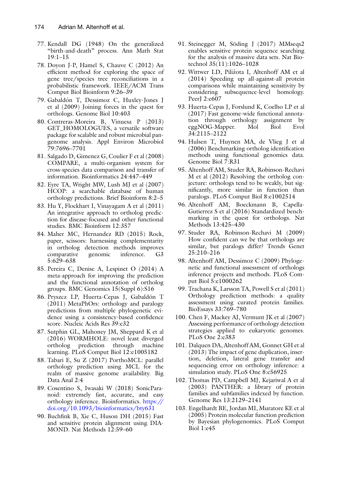- <span id="page-25-0"></span>77. Kendall DG (1948) On the generalized "birth-and-death" process. Ann Math Stat 19:1–15
- <span id="page-25-14"></span><span id="page-25-1"></span>78. Doyon J-P, Hamel S, Chauve C (2012) An efficient method for exploring the space of gene tree/species tree reconciliations in a probabilistic framework. IEEE/ACM Trans Comput Biol Bioinform 9:26–39
- <span id="page-25-15"></span><span id="page-25-2"></span>79. Gabaldón T, Dessimoz C, Huxley-Jones J et al (2009) Joining forces in the quest for orthologs. Genome Biol 10:403
- <span id="page-25-3"></span>80. Contreras-Moreira B, Vinuesa P (2013) GET\_HOMOLOGUES, a versatile software package for scalable and robust microbial pangenome analysis. Appl Environ Microbiol 79:7696–7701
- <span id="page-25-17"></span><span id="page-25-16"></span><span id="page-25-4"></span>81. Salgado D, Gimenez G, Coulier F et al (2008) COMPARE, a multi-organism system for cross-species data comparison and transfer of information. Bioinformatics 24:447–449
- <span id="page-25-5"></span>82. Eyre TA, Wright MW, Lush MJ et al (2007) HCOP: a searchable database of human orthology predictions. Brief Bioinform 8:2–5
- <span id="page-25-18"></span><span id="page-25-6"></span>83. Hu Y, Flockhart I, Vinayagam A et al (2011) An integrative approach to ortholog prediction for disease-focused and other functional studies. BMC Bioinform 12:357
- <span id="page-25-19"></span><span id="page-25-7"></span>84. Maher MC, Hernandez RD (2015) Rock, paper, scissors: harnessing complementarity in ortholog detection methods improves comparative genomic inference. G3 5:629–638
- <span id="page-25-20"></span><span id="page-25-8"></span>85. Pereira C, Denise A, Lespinet O (2014) A meta-approach for improving the prediction and the functional annotation of ortholog groups. BMC Genomics 15(Suppl 6):S16
- <span id="page-25-21"></span><span id="page-25-9"></span>86. Pryszcz LP, Huerta-Cepas J, Gabaldón T (2011) MetaPhOrs: orthology and paralogy predictions from multiple phylogenetic evidence using a consistency-based confidence score. Nucleic Acids Res 39:e32
- <span id="page-25-23"></span><span id="page-25-22"></span><span id="page-25-10"></span>87. Sutphin GL, Mahoney JM, Sheppard K et al (2016) WORMHOLE: novel least diverged ortholog prediction through machine learning. PLoS Comput Biol 12:e1005182
- <span id="page-25-11"></span>88. Tabari E, Su Z (2017) PorthoMCL: parallel orthology prediction using MCL for the realm of massive genome availability. Big Data Anal 2:4
- <span id="page-25-24"></span><span id="page-25-12"></span>89. Cosentino S, Iwasaki W (2018) SonicParanoid: extremely fast, accurate, and easy orthology inference. Bioinformatics. [https://](https://doi.org/10.1093/bioinformatics/bty631) [doi.org/10.1093/bioinformatics/bty631](https://doi.org/10.1093/bioinformatics/bty631)
- <span id="page-25-25"></span><span id="page-25-13"></span>90. Buchfink B, Xie C, Huson DH (2015) Fast and sensitive protein alignment using DIA-MOND. Nat Methods 12:59–60
- 91. Steinegger M, Söding J (2017) MMseqs2 enables sensitive protein sequence searching for the analysis of massive data sets. Nat Biotechnol 35(11):1026–1028
- 92. Wittwer LD, Piližota I, Altenhoff AM et al (2014) Speeding up all-against-all protein comparisons while maintaining sensitivity by considering subsequence-level homology. PeerJ 2:e607
- 93. Huerta-Cepas J, Forslund K, Coelho LP et al (2017) Fast genome-wide functional annotation through orthology assignment by eggNOG-Mapper. Mol Biol Evol 34:2115–2122
- 94. Hulsen T, Huynen MA, de Vlieg J et al (2006) Benchmarking ortholog identification methods using functional genomics data. Genome Biol 7:R31
- 95. Altenhoff AM, Studer RA, Robinson-Rechavi M et al (2012) Resolving the ortholog conjecture: orthologs tend to be weakly, but significantly, more similar in function than paralogs. PLoS Comput Biol 8:e1002514
- 96. Altenhoff AM, Boeckmann B, Capella-Gutierrez S et al (2016) Standardized benchmarking in the quest for orthologs. Nat Methods 13:425–430
- 97. Studer RA, Robinson-Rechavi M (2009) How confident can we be that orthologs are similar, but paralogs differ? Trends Genet 25:210–216
- 98. Altenhoff AM, Dessimoz C (2009) Phylogenetic and functional assessment of orthologs inference projects and methods. PLoS Comput Biol 5:e1000262
- 99. Trachana K, Larsson TA, Powell S et al (2011) Orthology prediction methods: a quality assessment using curated protein families. BioEssays 33:769–780
- 100. Chen F, Mackey AJ, Vermunt JK et al (2007) Assessing performance of orthology detection strategies applied to eukaryotic genomes. PLoS One 2:e383
- 101. Dalquen DA, Altenhoff AM, Gonnet GH et al (2013) The impact of gene duplication, insertion, deletion, lateral gene transfer and sequencing error on orthology inference: a simulation study. PLoS One 8:e56925
- 102. Thomas PD, Campbell MJ, Kejariwal A et al (2003) PANTHER: a library of protein families and subfamilies indexed by function. Genome Res 13:2129–2141
- 103. Engelhardt BE, Jordan MI, Muratore KE et al (2005) Protein molecular function prediction by Bayesian phylogenomics. PLoS Comput Biol 1:e45